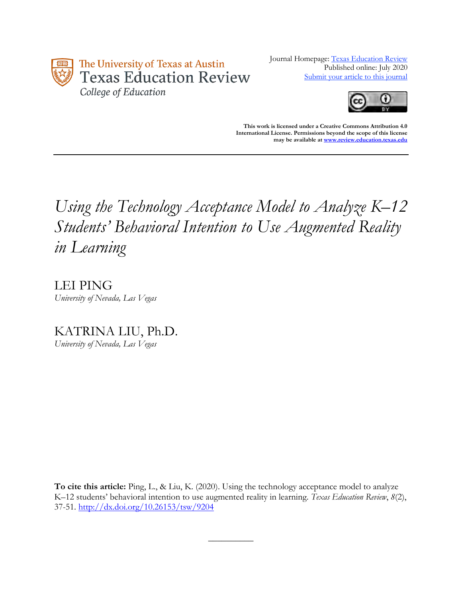

Journal Homepage: [Texas Education Review](https://review.education.utexas.edu/) Published online: July 2020 [Submit your article to this journal](https://review.education.utexas.edu/guidelines/)



**This work is licensed under a Creative Commons Attribution 4.0 International License. Permissions beyond the scope of this license may be available a[t www.review.education.texas.edu](http://www.review.education.texas.edu/)**

# *Using the Technology Acceptance Model to Analyze K–12 Students' Behavioral Intention to Use Augmented Reality in Learning*

LEI PING *University of Nevada, Las Vegas*

KATRINA LIU, Ph.D. *University of Nevada, Las Vegas*

**To cite this article:** Ping, L., & Liu, K. (2020). Using the technology acceptance model to analyze K–12 students' behavioral intention to use augmented reality in learning. *Texas Education Review*, *8*(2), 37-51.<http://dx.doi.org/10.26153/tsw/9204>

 $\overline{\phantom{a}}$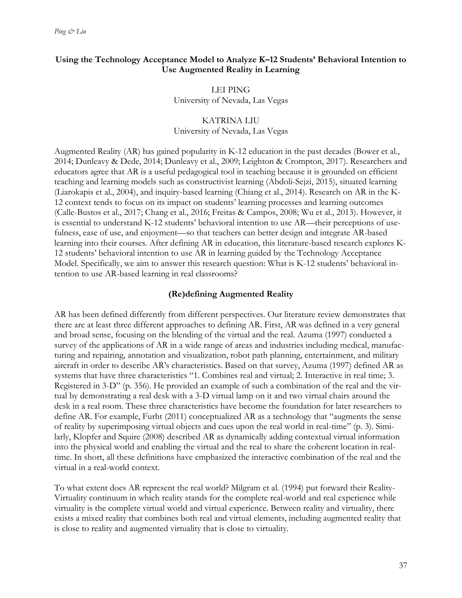#### **Using the Technology Acceptance Model to Analyze K–12 Students' Behavioral Intention to Use Augmented Reality in Learning**

LEI PING University of Nevada, Las Vegas

## KATRINA LIU University of Nevada, Las Vegas

Augmented Reality (AR) has gained popularity in K-12 education in the past decades (Bower et al., 2014; Dunleavy & Dede, 2014; Dunleavy et al., 2009; Leighton & Crompton, 2017). Researchers and educators agree that AR is a useful pedagogical tool in teaching because it is grounded on efficient teaching and learning models such as constructivist learning (Abdoli-Sejzi, 2015), situated learning (Liarokapis et al., 2004), and inquiry-based learning (Chiang et al., 2014). Research on AR in the K-12 context tends to focus on its impact on students' learning processes and learning outcomes (Calle-Bustos et al., 2017; Chang et al., 2016; Freitas & Campos, 2008; Wu et al., 2013). However, it is essential to understand K-12 students' behavioral intention to use AR—their perceptions of usefulness, ease of use, and enjoyment—so that teachers can better design and integrate AR-based learning into their courses. After defining AR in education, this literature-based research explores K-12 students' behavioral intention to use AR in learning guided by the Technology Acceptance Model. Specifically, we aim to answer this research question: What is K-12 students' behavioral intention to use AR-based learning in real classrooms?

## **(Re)defining Augmented Reality**

AR has been defined differently from different perspectives. Our literature review demonstrates that there are at least three different approaches to defining AR. First, AR was defined in a very general and broad sense, focusing on the blending of the virtual and the real. Azuma (1997) conducted a survey of the applications of AR in a wide range of areas and industries including medical, manufacturing and repairing, annotation and visualization, robot path planning, entertainment, and military aircraft in order to describe AR's characteristics. Based on that survey, Azuma (1997) defined AR as systems that have three characteristics "1. Combines real and virtual; 2. Interactive in real time; 3. Registered in 3-D" (p. 356). He provided an example of such a combination of the real and the virtual by demonstrating a real desk with a 3-D virtual lamp on it and two virtual chairs around the desk in a real room. These three characteristics have become the foundation for later researchers to define AR. For example, Furht (2011) conceptualized AR as a technology that "augments the sense of reality by superimposing virtual objects and cues upon the real world in real-time" (p. 3). Similarly, Klopfer and Squire (2008) described AR as dynamically adding contextual virtual information into the physical world and enabling the virtual and the real to share the coherent location in realtime. In short, all these definitions have emphasized the interactive combination of the real and the virtual in a real-world context.

To what extent does AR represent the real world? Milgram et al. (1994) put forward their Reality-Virtuality continuum in which reality stands for the complete real-world and real experience while virtuality is the complete virtual world and virtual experience. Between reality and virtuality, there exists a mixed reality that combines both real and virtual elements, including augmented reality that is close to reality and augmented virtuality that is close to virtuality.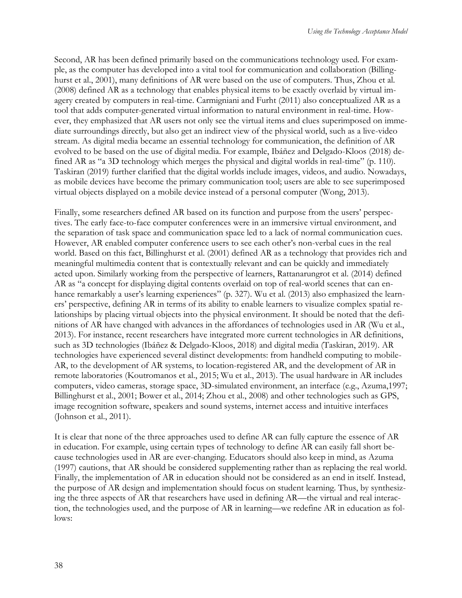Second, AR has been defined primarily based on the communications technology used. For example, as the computer has developed into a vital tool for communication and collaboration (Billinghurst et al., 2001), many definitions of AR were based on the use of computers. Thus, Zhou et al. (2008) defined AR as a technology that enables physical items to be exactly overlaid by virtual imagery created by computers in real-time. Carmigniani and Furht (2011) also conceptualized AR as a tool that adds computer-generated virtual information to natural environment in real-time. However, they emphasized that AR users not only see the virtual items and clues superimposed on immediate surroundings directly, but also get an indirect view of the physical world, such as a live-video stream. As digital media became an essential technology for communication, the definition of AR evolved to be based on the use of digital media. For example, Ibáñez and Delgado-Kloos (2018) defined AR as "a 3D technology which merges the physical and digital worlds in real-time" (p. 110). Taskiran (2019) further clarified that the digital worlds include images, videos, and audio. Nowadays, as mobile devices have become the primary communication tool; users are able to see superimposed virtual objects displayed on a mobile device instead of a personal computer (Wong, 2013).

Finally, some researchers defined AR based on its function and purpose from the users' perspectives. The early face-to-face computer conferences were in an immersive virtual environment, and the separation of task space and communication space led to a lack of normal communication cues. However, AR enabled computer conference users to see each other's non-verbal cues in the real world. Based on this fact, Billinghurst et al. (2001) defined AR as a technology that provides rich and meaningful multimedia content that is contextually relevant and can be quickly and immediately acted upon. Similarly working from the perspective of learners, Rattanarungrot et al. (2014) defined AR as "a concept for displaying digital contents overlaid on top of real-world scenes that can enhance remarkably a user's learning experiences" (p. 327). Wu et al. (2013) also emphasized the learners' perspective, defining AR in terms of its ability to enable learners to visualize complex spatial relationships by placing virtual objects into the physical environment. It should be noted that the definitions of AR have changed with advances in the affordances of technologies used in AR (Wu et al., 2013). For instance, recent researchers have integrated more current technologies in AR definitions, such as 3D technologies (Ibáñez & Delgado-Kloos, 2018) and digital media (Taskiran, 2019). AR technologies have experienced several distinct developments: from handheld computing to mobile-AR, to the development of AR systems, to location-registered AR, and the development of AR in remote laboratories (Koutromanos et al., 2015; Wu et al., 2013). The usual hardware in AR includes computers, video cameras, storage space, 3D-simulated environment, an interface (e.g., Azuma,1997; Billinghurst et al., 2001; Bower et al., 2014; Zhou et al., 2008) and other technologies such as GPS, image recognition software, speakers and sound systems, internet access and intuitive interfaces (Johnson et al., 2011).

It is clear that none of the three approaches used to define AR can fully capture the essence of AR in education. For example, using certain types of technology to define AR can easily fall short because technologies used in AR are ever-changing. Educators should also keep in mind, as Azuma (1997) cautions, that AR should be considered supplementing rather than as replacing the real world. Finally, the implementation of AR in education should not be considered as an end in itself. Instead, the purpose of AR design and implementation should focus on student learning. Thus, by synthesizing the three aspects of AR that researchers have used in defining AR—the virtual and real interaction, the technologies used, and the purpose of AR in learning—we redefine AR in education as follows: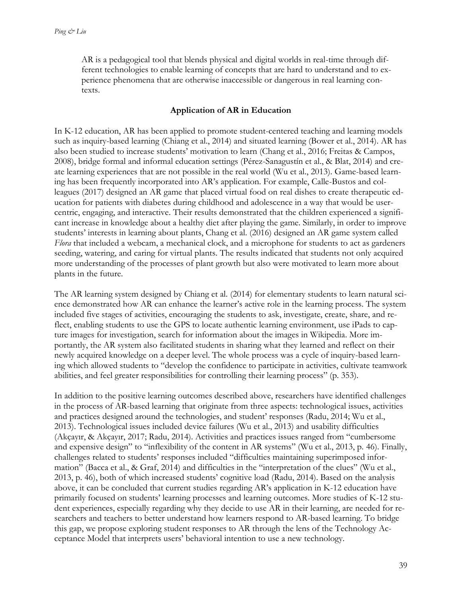AR is a pedagogical tool that blends physical and digital worlds in real-time through different technologies to enable learning of concepts that are hard to understand and to experience phenomena that are otherwise inaccessible or dangerous in real learning contexts.

#### **Application of AR in Education**

In K-12 education, AR has been applied to promote student-centered teaching and learning models such as inquiry-based learning (Chiang et al., 2014) and situated learning (Bower et al., 2014). AR has also been studied to increase students' motivation to learn (Chang et al., 2016; Freitas & Campos, 2008), bridge formal and informal education settings (Pérez-Sanagustín et al., & Blat, 2014) and create learning experiences that are not possible in the real world (Wu et al., 2013). Game-based learning has been frequently incorporated into AR's application. For example, Calle-Bustos and colleagues (2017) designed an AR game that placed virtual food on real dishes to create therapeutic education for patients with diabetes during childhood and adolescence in a way that would be usercentric, engaging, and interactive. Their results demonstrated that the children experienced a significant increase in knowledge about a healthy diet after playing the game. Similarly, in order to improve students' interests in learning about plants, Chang et al. (2016) designed an AR game system called *Flora* that included a webcam, a mechanical clock, and a microphone for students to act as gardeners seeding, watering, and caring for virtual plants. The results indicated that students not only acquired more understanding of the processes of plant growth but also were motivated to learn more about plants in the future.

The AR learning system designed by Chiang et al. (2014) for elementary students to learn natural science demonstrated how AR can enhance the learner's active role in the learning process. The system included five stages of activities, encouraging the students to ask, investigate, create, share, and reflect, enabling students to use the GPS to locate authentic learning environment, use iPads to capture images for investigation, search for information about the images in Wikipedia. More importantly, the AR system also facilitated students in sharing what they learned and reflect on their newly acquired knowledge on a deeper level. The whole process was a cycle of inquiry-based learning which allowed students to "develop the confidence to participate in activities, cultivate teamwork abilities, and feel greater responsibilities for controlling their learning process" (p. 353).

In addition to the positive learning outcomes described above, researchers have identified challenges in the process of AR-based learning that originate from three aspects: technological issues, activities and practices designed around the technologies, and student' responses (Radu, 2014; Wu et al., 2013). Technological issues included device failures (Wu et al., 2013) and usability difficulties (Akçayır, & Akçayır, 2017; Radu, 2014). Activities and practices issues ranged from "cumbersome and expensive design" to "inflexibility of the content in AR systems" (Wu et al., 2013, p. 46). Finally, challenges related to students' responses included "difficulties maintaining superimposed information" (Bacca et al., & Graf, 2014) and difficulties in the "interpretation of the clues" (Wu et al., 2013, p. 46), both of which increased students' cognitive load (Radu, 2014). Based on the analysis above, it can be concluded that current studies regarding AR's application in K-12 education have primarily focused on students' learning processes and learning outcomes. More studies of K-12 student experiences, especially regarding why they decide to use AR in their learning, are needed for researchers and teachers to better understand how learners respond to AR-based learning. To bridge this gap, we propose exploring student responses to AR through the lens of the Technology Acceptance Model that interprets users' behavioral intention to use a new technology.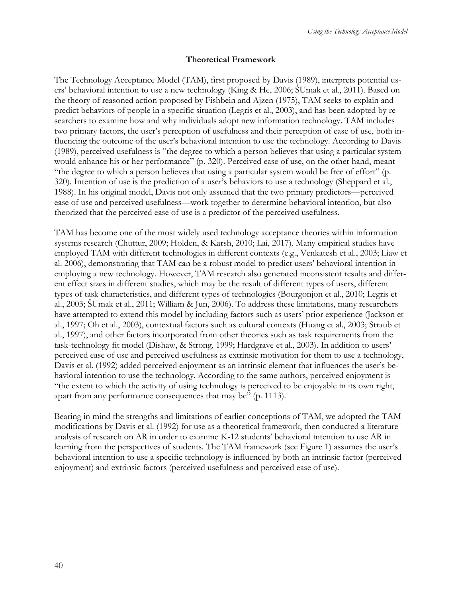### **Theoretical Framework**

The Technology Acceptance Model (TAM), first proposed by Davis (1989), interprets potential users' behavioral intention to use a new technology (King & He, 2006; ŠUmak et al., 2011). Based on the theory of reasoned action proposed by Fishbein and Ajzen (1975), TAM seeks to explain and predict behaviors of people in a specific situation (Legris et al., 2003), and has been adopted by researchers to examine how and why individuals adopt new information technology. TAM includes two primary factors, the user's perception of usefulness and their perception of ease of use, both influencing the outcome of the user's behavioral intention to use the technology. According to Davis (1989), perceived usefulness is "the degree to which a person believes that using a particular system would enhance his or her performance" (p. 320). Perceived ease of use, on the other hand, meant "the degree to which a person believes that using a particular system would be free of effort" (p. 320). Intention of use is the prediction of a user's behaviors to use a technology (Sheppard et al., 1988). In his original model, Davis not only assumed that the two primary predictors—perceived ease of use and perceived usefulness—work together to determine behavioral intention, but also theorized that the perceived ease of use is a predictor of the perceived usefulness.

TAM has become one of the most widely used technology acceptance theories within information systems research (Chuttur, 2009; Holden, & Karsh, 2010; Lai, 2017). Many empirical studies have employed TAM with different technologies in different contexts (e.g., Venkatesh et al., 2003; Liaw et al. 2006), demonstrating that TAM can be a robust model to predict users' behavioral intention in employing a new technology. However, TAM research also generated inconsistent results and different effect sizes in different studies, which may be the result of different types of users, different types of task characteristics, and different types of technologies (Bourgonjon et al., 2010; Legris et al., 2003; ŠUmak et al., 2011; William & Jun, 2006). To address these limitations, many researchers have attempted to extend this model by including factors such as users' prior experience (Jackson et al., 1997; Oh et al., 2003), contextual factors such as cultural contexts (Huang et al., 2003; Straub et al., 1997), and other factors incorporated from other theories such as task requirements from the task-technology fit model (Dishaw, & Strong, 1999; Hardgrave et al., 2003). In addition to users' perceived ease of use and perceived usefulness as extrinsic motivation for them to use a technology, Davis et al. (1992) added perceived enjoyment as an intrinsic element that influences the user's behavioral intention to use the technology. According to the same authors, perceived enjoyment is "the extent to which the activity of using technology is perceived to be enjoyable in its own right, apart from any performance consequences that may be" (p. 1113).

Bearing in mind the strengths and limitations of earlier conceptions of TAM, we adopted the TAM modifications by Davis et al. (1992) for use as a theoretical framework, then conducted a literature analysis of research on AR in order to examine K-12 students' behavioral intention to use AR in learning from the perspectives of students. The TAM framework (see Figure 1) assumes the user's behavioral intention to use a specific technology is influenced by both an intrinsic factor (perceived enjoyment) and extrinsic factors (perceived usefulness and perceived ease of use).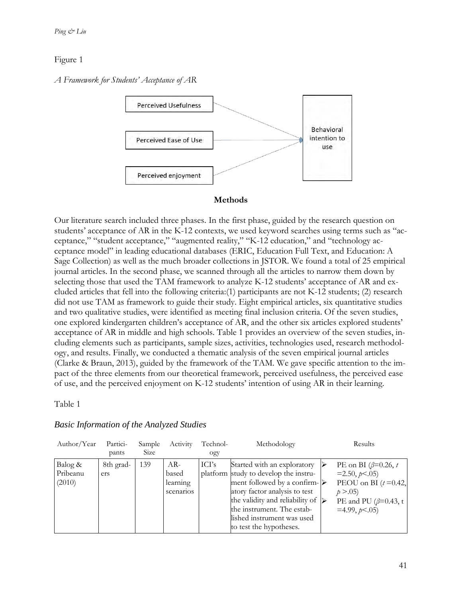Figure 1

*A Framework for Students' Acceptance of AR*



#### **Methods**

Our literature search included three phases. In the first phase, guided by the research question on students' acceptance of AR in the K-12 contexts, we used keyword searches using terms such as "acceptance," "student acceptance," "augmented reality," "K-12 education," and "technology acceptance model" in leading educational databases (ERIC, Education Full Text, and Education: A Sage Collection) as well as the much broader collections in JSTOR. We found a total of 25 empirical journal articles. In the second phase, we scanned through all the articles to narrow them down by selecting those that used the TAM framework to analyze K-12 students' acceptance of AR and excluded articles that fell into the following criteria:(1) participants are not K-12 students; (2) research did not use TAM as framework to guide their study. Eight empirical articles, six quantitative studies and two qualitative studies, were identified as meeting final inclusion criteria. Of the seven studies, one explored kindergarten children's acceptance of AR, and the other six articles explored students' acceptance of AR in middle and high schools. Table 1 provides an overview of the seven studies, including elements such as participants, sample sizes, activities, technologies used, research methodology, and results. Finally, we conducted a thematic analysis of the seven empirical journal articles (Clarke & Braun, 2013), guided by the framework of the TAM. We gave specific attention to the impact of the three elements from our theoretical framework, perceived usefulness, the perceived ease of use, and the perceived enjoyment on K-12 students' intention of using AR in their learning.

Table 1

#### *Basic Information of the Analyzed Studies*

| Author/Year | Partici-  | Sample      | Activity  | Technol- | Methodology                                      | Results                      |
|-------------|-----------|-------------|-----------|----------|--------------------------------------------------|------------------------------|
|             | pants     | <b>Size</b> |           | ogy      |                                                  |                              |
| Balog &     | 8th grad- | 139         | $AR-$     | ICI's    | Started with an exploratory                      | PE on BI ( $\beta$ =0.26, t  |
| Pribeanu    | ers       |             | based     |          | platform study to develop the instru-            | $=2.50, p<.05$               |
| (2010)      |           |             | learning  |          | ment followed by a confirm- $\triangleright$     | PEOU on BI $(t=0.42,$        |
|             |           |             | scenarios |          | atory factor analysis to test                    | p > .05                      |
|             |           |             |           |          | the validity and reliability of $\triangleright$ | PE and PU ( $\beta$ =0.43, t |
|             |           |             |           |          | the instrument. The estab-                       | $=4.99, p<.05$               |
|             |           |             |           |          | lished instrument was used                       |                              |
|             |           |             |           |          | to test the hypotheses.                          |                              |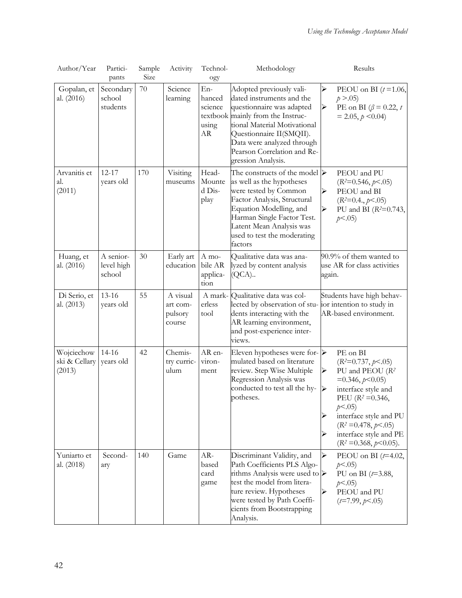| Author/Year                           | Partici-<br>pants                 | Sample<br>Size | Activity                                  | Technol-<br>ogy                           | Methodology                                                                                                                                                                                                                                                            | Results                                                                                                                                                                                                                                                                                      |
|---------------------------------------|-----------------------------------|----------------|-------------------------------------------|-------------------------------------------|------------------------------------------------------------------------------------------------------------------------------------------------------------------------------------------------------------------------------------------------------------------------|----------------------------------------------------------------------------------------------------------------------------------------------------------------------------------------------------------------------------------------------------------------------------------------------|
| Gopalan, et<br>al. (2016)             | Secondary<br>school<br>students   | $70\,$         | Science<br>learning                       | $En-$<br>hanced<br>science<br>using<br>AR | Adopted previously vali-<br>dated instruments and the<br>questionnaire was adapted<br>textbook mainly from the Instruc-<br>tional Material Motivational<br>Questionnaire II(SMQII).<br>Data were analyzed through<br>Pearson Correlation and Re-<br>gression Analysis. | ⋗<br>PEOU on BI $(t=1.06,$<br>p > .05<br>PE on BI ( $\beta$ = 0.22, t<br>➤<br>$= 2.05, p \le 0.04$                                                                                                                                                                                           |
| Arvanitis et<br>al.<br>(2011)         | $12 - 17$<br>years old            | 170            | Visiting<br>museums                       | Head-<br>Mounte<br>d Dis-<br>play         | The constructs of the model $\triangleright$<br>as well as the hypotheses<br>were tested by Common<br>Factor Analysis, Structural<br>Equation Modelling, and<br>Harman Single Factor Test.<br>Latent Mean Analysis was<br>used to test the moderating<br>factors       | PEOU and PU<br>$(R^2=0.546, p<.05)$<br>PEOU and BI<br>⋗<br>$(R^2=0.4, p<.05)$<br>PU and BI ( $R2=0.743$ ,<br>⋗<br>p<.05                                                                                                                                                                      |
| Huang, et<br>al. (2016)               | A senior-<br>level high<br>school | 30             | Early art<br>education                    | A mo-<br>bile AR<br>applica-<br>tion      | Qualitative data was ana-<br>lyzed by content analysis<br>$(QCA)$                                                                                                                                                                                                      | 90.9% of them wanted to<br>use AR for class activities<br>again.                                                                                                                                                                                                                             |
| Di Serio, et<br>al. (2013)            | $13 - 16$<br>years old            | 55             | A visual<br>art com-<br>pulsory<br>course | erless<br>tool                            | A mark- Qualitative data was col-<br>lected by observation of stu-<br>dents interacting with the<br>AR learning environment,<br>and post-experience inter-<br>views.                                                                                                   | Students have high behav-<br>ior intention to study in<br>AR-based environment.                                                                                                                                                                                                              |
| Wojciechow<br>ski & Cellary<br>(2013) | $14 - 16$<br>years old            | 42             | Chemis-<br>try curric-<br>ulum            | AR en-<br>viron-<br>ment                  | Eleven hypotheses were for- $\triangleright$<br>mulated based on literature<br>review. Step Wise Multiple<br>Regression Analysis was<br>conducted to test all the hy-<br>potheses.                                                                                     | PE on BI<br>$(R^2=0.737, p<0.65)$<br>PU and PEOU (R <sup>2</sup><br>➤<br>$=0.346, p<0.05$<br>interface style and<br>$\blacktriangleright$<br>PEU ( $R^2 = 0.346$ ,<br>p<0.05<br>interface style and PU<br>$(R^2 = 0.478, p < 0.05)$<br>interface style and PE<br>$(R^2 = 0.368, p < 0.05)$ . |
| Yuniarto et<br>al. (2018)             | Second-<br>ary                    | 140            | Game                                      | AR-<br>based<br>card<br>game              | Discriminant Validity, and<br>Path Coefficients PLS Algo-<br>rithms Analysis were used to $\triangleright$<br>test the model from litera-<br>ture review. Hypotheses<br>were tested by Path Coeffi-<br>cients from Bootstrapping<br>Analysis.                          | $\blacktriangleright$<br>PEOU on BI $(t=4.02$ ,<br>p<0.05<br>PU on BI $(t=3.88,$<br>p<0.05<br>PEOU and PU<br>➤<br>$(t=7.99, p<.05)$                                                                                                                                                          |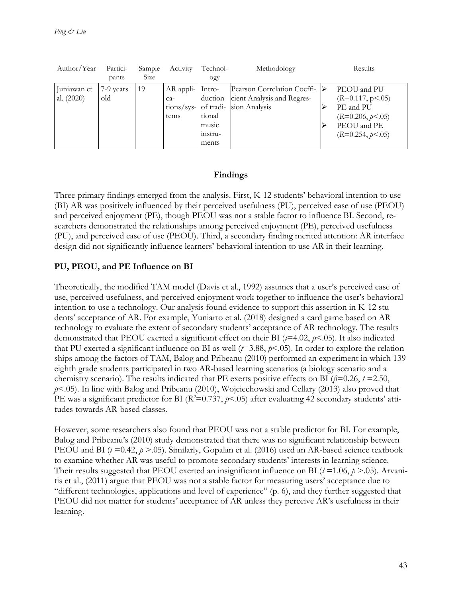| Author/Year                 | Partici-<br>pants | Sample<br><b>Size</b> | Activity                   | Technol-<br>ogy                                          | Methodology                                                                                    | Results                                                                                                     |
|-----------------------------|-------------------|-----------------------|----------------------------|----------------------------------------------------------|------------------------------------------------------------------------------------------------|-------------------------------------------------------------------------------------------------------------|
| Juniawan et<br>al. $(2020)$ | 7-9 years<br>old  | -19                   | $AR$ appli-<br>ca-<br>tems | Intro-<br>duction<br>tional<br>music<br>instru-<br>ments | Pearson Correlation Coeffi-<br>cient Analysis and Regres-<br>tions/sys- of tradi-sion Analysis | PEOU and PU<br>$(R=0.117, p<0.05)$<br>PE and PU<br>$(R=0.206, p<.05)$<br>PEOU and PE<br>$(R=0.254, p<0.05)$ |

## **Findings**

Three primary findings emerged from the analysis. First, K-12 students' behavioral intention to use (BI) AR was positively influenced by their perceived usefulness (PU), perceived ease of use (PEOU) and perceived enjoyment (PE), though PEOU was not a stable factor to influence BI. Second, researchers demonstrated the relationships among perceived enjoyment (PE), perceived usefulness (PU), and perceived ease of use (PEOU). Third, a secondary finding merited attention: AR interface design did not significantly influence learners' behavioral intention to use AR in their learning.

## **PU, PEOU, and PE Influence on BI**

Theoretically, the modified TAM model (Davis et al., 1992) assumes that a user's perceived ease of use, perceived usefulness, and perceived enjoyment work together to influence the user's behavioral intention to use a technology. Our analysis found evidence to support this assertion in K-12 students' acceptance of AR. For example, Yuniarto et al. (2018) designed a card game based on AR technology to evaluate the extent of secondary students' acceptance of AR technology. The results demonstrated that PEOU exerted a significant effect on their BI (*t*=4.02, *p*<.05). It also indicated that PU exerted a significant influence on BI as well  $(t=3.88, p<0.05)$ . In order to explore the relationships among the factors of TAM, Balog and Pribeanu (2010) performed an experiment in which 139 eighth grade students participated in two AR-based learning scenarios (a biology scenario and a chemistry scenario). The results indicated that PE exerts positive effects on BI (*β*=0.26, *t* =2.50, *p*<.05). In line with Balog and Pribeanu (2010), Wojciechowski and Cellary (2013) also proved that PE was a significant predictor for BI ( $R^2$ =0.737,  $p$ <.05) after evaluating 42 secondary students' attitudes towards AR-based classes.

However, some researchers also found that PEOU was not a stable predictor for BI. For example, Balog and Pribeanu's (2010) study demonstrated that there was no significant relationship between PEOU and BI  $(t=0.42, p > 0.05)$ . Similarly, Gopalan et al. (2016) used an AR-based science textbook to examine whether AR was useful to promote secondary students' interests in learning science. Their results suggested that PEOU exerted an insignificant influence on BI ( $t = 1.06$ ,  $p > .05$ ). Arvanitis et al., (2011) argue that PEOU was not a stable factor for measuring users' acceptance due to "different technologies, applications and level of experience" (p. 6), and they further suggested that PEOU did not matter for students' acceptance of AR unless they perceive AR's usefulness in their learning.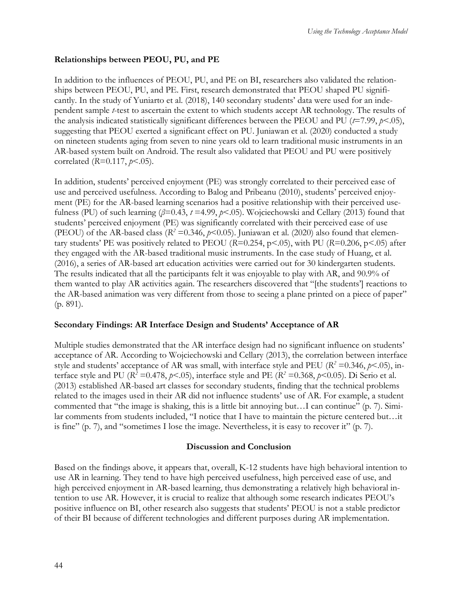# **Relationships between PEOU, PU, and PE**

In addition to the influences of PEOU, PU, and PE on BI, researchers also validated the relationships between PEOU, PU, and PE. First, research demonstrated that PEOU shaped PU significantly. In the study of Yuniarto et al. (2018), 140 secondary students' data were used for an independent sample *t*-test to ascertain the extent to which students accept AR technology. The results of the analysis indicated statistically significant differences between the PEOU and PU ( $t=7.99, p<05$ ), suggesting that PEOU exerted a significant effect on PU. Juniawan et al. (2020) conducted a study on nineteen students aging from seven to nine years old to learn traditional music instruments in an AR-based system built on Android. The result also validated that PEOU and PU were positively correlated (*R*=0.117, *p*<.05).

In addition, students' perceived enjoyment (PE) was strongly correlated to their perceived ease of use and perceived usefulness. According to Balog and Pribeanu (2010), students' perceived enjoyment (PE) for the AR-based learning scenarios had a positive relationship with their perceived usefulness (PU) of such learning (*β*=0.43, *t* =4.99, *p*<.05). Wojciechowski and Cellary (2013) found that students' perceived enjoyment (PE) was significantly correlated with their perceived ease of use (PEOU) of the AR-based class ( $R^2 = 0.346$ ,  $p < 0.05$ ). Juniawan et al. (2020) also found that elementary students' PE was positively related to PEOU (*R*=0.254, p<.05), with PU (*R*=0.206, p<.05) after they engaged with the AR-based traditional music instruments. In the case study of Huang, et al. (2016), a series of AR-based art education activities were carried out for 30 kindergarten students. The results indicated that all the participants felt it was enjoyable to play with AR, and 90.9% of them wanted to play AR activities again. The researchers discovered that "[the students'] reactions to the AR-based animation was very different from those to seeing a plane printed on a piece of paper" (p. 891).

## **Secondary Findings: AR Interface Design and Students' Acceptance of AR**

Multiple studies demonstrated that the AR interface design had no significant influence on students' acceptance of AR. According to Wojciechowski and Cellary (2013), the correlation between interface style and students' acceptance of AR was small, with interface style and PEU ( $R^2$  =0.346,  $p$ <.05), interface style and PU ( $R^2$  =0.478,  $p$ <.05), interface style and PE ( $R^2$  =0.368,  $p$ <0.05). Di Serio et al. (2013) established AR-based art classes for secondary students, finding that the technical problems related to the images used in their AR did not influence students' use of AR. For example, a student commented that "the image is shaking, this is a little bit annoying but…I can continue" (p. 7). Similar comments from students included, "I notice that I have to maintain the picture centered but…it is fine"  $(p, 7)$ , and "sometimes I lose the image. Nevertheless, it is easy to recover it"  $(p, 7)$ .

#### **Discussion and Conclusion**

Based on the findings above, it appears that, overall, K-12 students have high behavioral intention to use AR in learning. They tend to have high perceived usefulness, high perceived ease of use, and high perceived enjoyment in AR-based learning, thus demonstrating a relatively high behavioral intention to use AR. However, it is crucial to realize that although some research indicates PEOU's positive influence on BI, other research also suggests that students' PEOU is not a stable predictor of their BI because of different technologies and different purposes during AR implementation.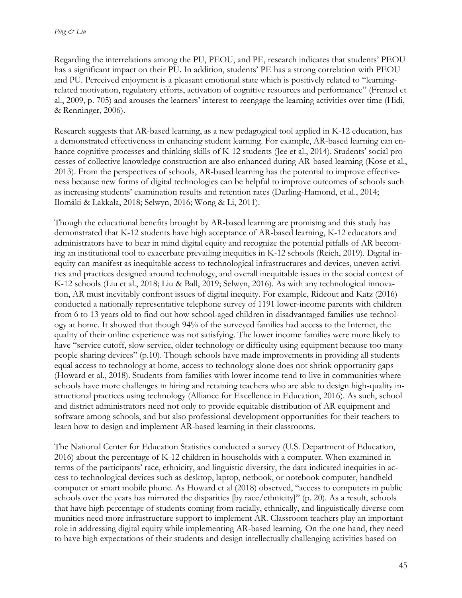Regarding the interrelations among the PU, PEOU, and PE, research indicates that students' PEOU has a significant impact on their PU. In addition, students' PE has a strong correlation with PEOU and PU. Perceived enjoyment is a pleasant emotional state which is positively related to "learningrelated motivation, regulatory efforts, activation of cognitive resources and performance" (Frenzel et al., 2009, p. 705) and arouses the learners' interest to reengage the learning activities over time (Hidi, & Renninger, 2006).

Research suggests that AR-based learning, as a new pedagogical tool applied in K-12 education, has a demonstrated effectiveness in enhancing student learning. For example, AR-based learning can enhance cognitive processes and thinking skills of K-12 students (Jee et al., 2014). Students' social processes of collective knowledge construction are also enhanced during AR-based learning (Kose et al., 2013). From the perspectives of schools, AR-based learning has the potential to improve effectiveness because new forms of digital technologies can be helpful to improve outcomes of schools such as increasing students' examination results and retention rates (Darling-Hamond, et al., 2014; Ilomäki & Lakkala, 2018; Selwyn, 2016; Wong & Li, 2011).

Though the educational benefits brought by AR-based learning are promising and this study has demonstrated that K-12 students have high acceptance of AR-based learning, K-12 educators and administrators have to bear in mind digital equity and recognize the potential pitfalls of AR becoming an institutional tool to exacerbate prevailing inequities in K-12 schools (Reich, 2019). Digital inequity can manifest as inequitable access to technological infrastructures and devices, uneven activities and practices designed around technology, and overall inequitable issues in the social context of K-12 schools (Liu et al., 2018; Liu & Ball, 2019; Selwyn, 2016). As with any technological innovation, AR must inevitably confront issues of digital inequity. For example, Rideout and Katz (2016) conducted a nationally representative telephone survey of 1191 lower-income parents with children from 6 to 13 years old to find out how school-aged children in disadvantaged families use technology at home. It showed that though 94% of the surveyed families had access to the Internet, the quality of their online experience was not satisfying. The lower income families were more likely to have "service cutoff, slow service, older technology or difficulty using equipment because too many people sharing devices" (p.10). Though schools have made improvements in providing all students equal access to technology at home, access to technology alone does not shrink opportunity gaps (Howard et al., 2018). Students from families with lower income tend to live in communities where schools have more challenges in hiring and retaining teachers who are able to design high-quality instructional practices using technology (Alliance for Excellence in Education, 2016). As such, school and district administrators need not only to provide equitable distribution of AR equipment and software among schools, and but also professional development opportunities for their teachers to learn how to design and implement AR-based learning in their classrooms.

The National Center for Education Statistics conducted a survey (U.S. Department of Education, 2016) about the percentage of K-12 children in households with a computer. When examined in terms of the participants' race, ethnicity, and linguistic diversity, the data indicated inequities in access to technological devices such as desktop, laptop, netbook, or notebook computer, handheld computer or smart mobile phone. As Howard et al (2018) observed, "access to computers in public schools over the years has mirrored the disparities [by race/ethnicity]" (p. 20). As a result, schools that have high percentage of students coming from racially, ethnically, and linguistically diverse communities need more infrastructure support to implement AR. Classroom teachers play an important role in addressing digital equity while implementing AR-based learning. On the one hand, they need to have high expectations of their students and design intellectually challenging activities based on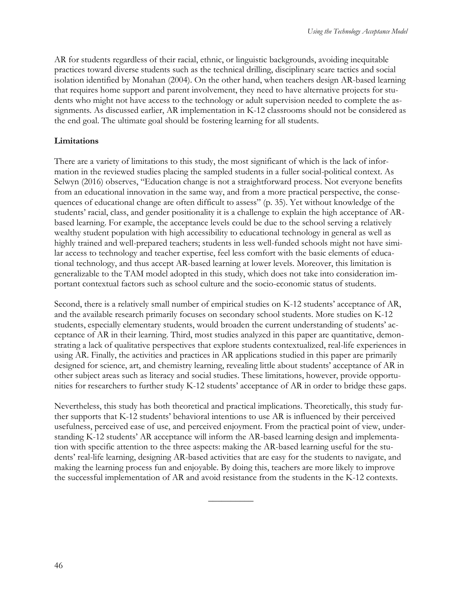AR for students regardless of their racial, ethnic, or linguistic backgrounds, avoiding inequitable practices toward diverse students such as the technical drilling, disciplinary scare tactics and social isolation identified by Monahan (2004). On the other hand, when teachers design AR-based learning that requires home support and parent involvement, they need to have alternative projects for students who might not have access to the technology or adult supervision needed to complete the assignments. As discussed earlier, AR implementation in K-12 classrooms should not be considered as the end goal. The ultimate goal should be fostering learning for all students.

## **Limitations**

There are a variety of limitations to this study, the most significant of which is the lack of information in the reviewed studies placing the sampled students in a fuller social-political context. As Selwyn (2016) observes, "Education change is not a straightforward process. Not everyone benefits from an educational innovation in the same way, and from a more practical perspective, the consequences of educational change are often difficult to assess" (p. 35). Yet without knowledge of the students' racial, class, and gender positionality it is a challenge to explain the high acceptance of ARbased learning. For example, the acceptance levels could be due to the school serving a relatively wealthy student population with high accessibility to educational technology in general as well as highly trained and well-prepared teachers; students in less well-funded schools might not have similar access to technology and teacher expertise, feel less comfort with the basic elements of educational technology, and thus accept AR-based learning at lower levels. Moreover, this limitation is generalizable to the TAM model adopted in this study, which does not take into consideration important contextual factors such as school culture and the socio-economic status of students.

Second, there is a relatively small number of empirical studies on K-12 students' acceptance of AR, and the available research primarily focuses on secondary school students. More studies on K-12 students, especially elementary students, would broaden the current understanding of students' acceptance of AR in their learning. Third, most studies analyzed in this paper are quantitative, demonstrating a lack of qualitative perspectives that explore students contextualized, real-life experiences in using AR. Finally, the activities and practices in AR applications studied in this paper are primarily designed for science, art, and chemistry learning, revealing little about students' acceptance of AR in other subject areas such as literacy and social studies. These limitations, however, provide opportunities for researchers to further study K-12 students' acceptance of AR in order to bridge these gaps.

Nevertheless, this study has both theoretical and practical implications. Theoretically, this study further supports that K-12 students' behavioral intentions to use AR is influenced by their perceived usefulness, perceived ease of use, and perceived enjoyment. From the practical point of view, understanding K-12 students' AR acceptance will inform the AR-based learning design and implementation with specific attention to the three aspects: making the AR-based learning useful for the students' real-life learning, designing AR-based activities that are easy for the students to navigate, and making the learning process fun and enjoyable. By doing this, teachers are more likely to improve the successful implementation of AR and avoid resistance from the students in the K-12 contexts.

 $\overline{\phantom{a}}$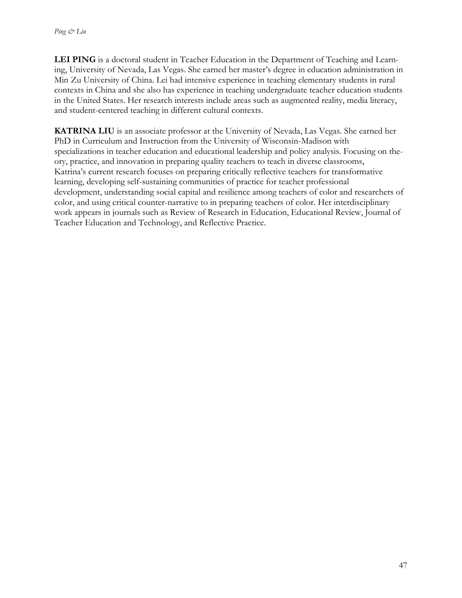**LEI PING** is a doctoral student in Teacher Education in the Department of Teaching and Learning, University of Nevada, Las Vegas. She earned her master's degree in education administration in Min Zu University of China. Lei had intensive experience in teaching elementary students in rural contexts in China and she also has experience in teaching undergraduate teacher education students in the United States. Her research interests include areas such as augmented reality, media literacy, and student-centered teaching in different cultural contexts.

**KATRINA LIU** is an associate professor at the University of Nevada, Las Vegas. She earned her PhD in Curriculum and Instruction from the University of Wisconsin-Madison with specializations in teacher education and educational leadership and policy analysis. Focusing on theory, practice, and innovation in preparing quality teachers to teach in diverse classrooms, Katrina's current research focuses on preparing critically reflective teachers for transformative learning, developing self-sustaining communities of practice for teacher professional development, understanding social capital and resilience among teachers of color and researchers of color, and using critical counter-narrative to in preparing teachers of color. Her interdisciplinary work appears in journals such as Review of Research in Education, Educational Review, Journal of Teacher Education and Technology, and Reflective Practice.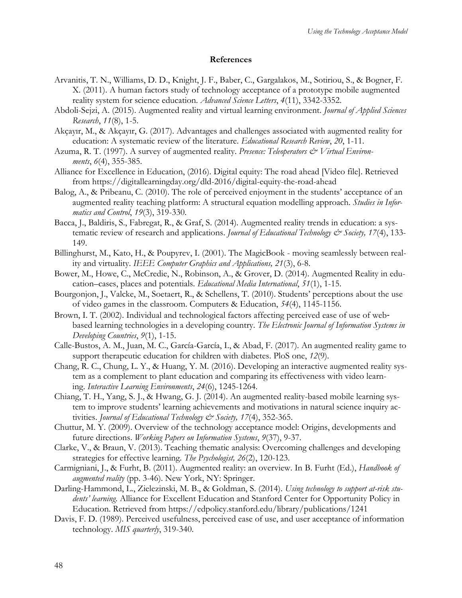#### **References**

- Arvanitis, T. N., Williams, D. D., Knight, J. F., Baber, C., Gargalakos, M., Sotiriou, S., & Bogner, F. X. (2011). A human factors study of technology acceptance of a prototype mobile augmented reality system for science education. *Advanced Science Letters*, *4*(11), 3342-3352.
- Abdoli-Sejzi, A. (2015). Augmented reality and virtual learning environment. *Journal of Applied Sciences Research*, *11*(8), 1-5.
- Akçayır, M., & Akçayır, G. (2017). Advantages and challenges associated with augmented reality for education: A systematic review of the literature. *Educational Research Review*, *20*, 1-11.
- Azuma, R. T. (1997). A survey of augmented reality. *Presence: Teleoperators & Virtual Environments*, *6*(4), 355-385.
- Alliance for Excellence in Education, (2016). Digital equity: The road ahead [Video file]. Retrieved from https://digitallearningday.org/dld-2016/digital-equity-the-road-ahead
- Balog, A., & Pribeanu, C. (2010). The role of perceived enjoyment in the students' acceptance of an augmented reality teaching platform: A structural equation modelling approach. *Studies in Informatics and Control*, *19*(3), 319-330.
- Bacca, J., Baldiris, S., Fabregat, R., & Graf, S. (2014). Augmented reality trends in education: a systematic review of research and applications. *Journal of Educational Technology & Society*, 17(4), 133-149.
- Billinghurst, M., Kato, H., & Poupyrev, I. (2001). The MagicBook moving seamlessly between reality and virtuality. *IEEE Computer Graphics and Applications, 21*(3), 6-8.
- Bower, M., Howe, C., McCredie, N., Robinson, A., & Grover, D. (2014). Augmented Reality in education–cases, places and potentials. *Educational Media International*, *51*(1), 1-15.
- Bourgonjon, J., Valcke, M., Soetaert, R., & Schellens, T. (2010). Students' perceptions about the use of video games in the classroom. Computers & Education, *54*(4), 1145-1156.
- Brown, I. T. (2002). Individual and technological factors affecting perceived ease of use of webbased learning technologies in a developing country. *The Electronic Journal of Information Systems in Developing Countries*, *9*(1), 1-15.
- Calle-Bustos, A. M., Juan, M. C., García-García, I., & Abad, F. (2017). An augmented reality game to support therapeutic education for children with diabetes. PloS one, *12*(9).
- Chang, R. C., Chung, L. Y., & Huang, Y. M. (2016). Developing an interactive augmented reality system as a complement to plant education and comparing its effectiveness with video learning. *Interactive Learning Environments*, *24*(6), 1245-1264.
- Chiang, T. H., Yang, S. J., & Hwang, G. J. (2014). An augmented reality-based mobile learning system to improve students' learning achievements and motivations in natural science inquiry activities. *Journal of Educational Technology & Society, 17*(4), 352-365.
- Chuttur, M. Y. (2009). Overview of the technology acceptance model: Origins, developments and future directions. *Working Papers on Information Systems*, *9*(37), 9-37.
- Clarke, V., & Braun, V. (2013). Teaching thematic analysis: Overcoming challenges and developing strategies for effective learning. *The Psychologist, 26*(2), 120-123.
- Carmigniani, J., & Furht, B. (2011). Augmented reality: an overview. In B. Furht (Ed.), *Handbook of augmented reality* (pp. 3-46). New York, NY: Springer.
- Darling-Hammond, L., Zielezinski, M. B., & Goldman, S. (2014). *Using technology to support at-risk students' learning.* Alliance for Excellent Education and Stanford Center for Opportunity Policy in Education. Retrieved from https://edpolicy.stanford.edu/library/publications/1241
- Davis, F. D. (1989). Perceived usefulness, perceived ease of use, and user acceptance of information technology. *MIS quarterly*, 319-340.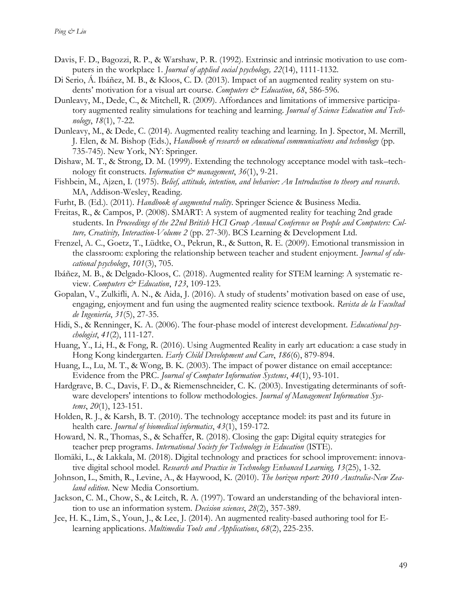- Davis, F. D., Bagozzi, R. P., & Warshaw, P. R. (1992). Extrinsic and intrinsic motivation to use computers in the workplace 1. *Journal of applied social psychology, 22*(14), 1111-1132.
- Di Serio, Á. Ibáñez, M. B., & Kloos, C. D. (2013). Impact of an augmented reality system on students' motivation for a visual art course. *Computers & Education*, 68, 586-596.
- Dunleavy, M., Dede, C., & Mitchell, R. (2009). Affordances and limitations of immersive participatory augmented reality simulations for teaching and learning. *Journal of Science Education and Technology*, *18*(1), 7-22.
- Dunleavy, M., & Dede, C. (2014). Augmented reality teaching and learning. In J. Spector, M. Merrill, J. Elen, & M. Bishop (Eds.), *Handbook of research on educational communications and technology* (pp. 735-745). New York, NY: Springer.
- Dishaw, M. T., & Strong, D. M. (1999). Extending the technology acceptance model with task–technology fit constructs. *Information & management*, 36(1), 9-21.
- Fishbein, M., Ajzen, I. (1975). *Belief, attitude, intention, and behavior: An Introduction to theory and research*. MA, Addison-Wesley, Reading.
- Furht, B. (Ed.). (2011). *Handbook of augmented reality*. Springer Science & Business Media.
- Freitas, R., & Campos, P. (2008). SMART: A system of augmented reality for teaching 2nd grade students. In *Proceedings of the 22nd British HCI Group Annual Conference on People and Computers: Culture, Creativity, Interaction-Volume 2* (pp. 27-30). BCS Learning & Development Ltd.
- Frenzel, A. C., Goetz, T., Lüdtke, O., Pekrun, R., & Sutton, R. E. (2009). Emotional transmission in the classroom: exploring the relationship between teacher and student enjoyment. *Journal of educational psychology*, *101*(3), 705.
- Ibáñez, M. B., & Delgado-Kloos, C. (2018). Augmented reality for STEM learning: A systematic review. *Computers & Education*, *123*, 109-123.
- Gopalan, V., Zulkifli, A. N., & Aida, J. (2016). A study of students' motivation based on ease of use, engaging, enjoyment and fun using the augmented reality science textbook. *Revista de la Facultad de Ingeniería*, *31*(5), 27-35.
- Hidi, S., & Renninger, K. A. (2006). The four-phase model of interest development. *Educational psychologist*, *41*(2), 111-127.
- Huang, Y., Li, H., & Fong, R. (2016). Using Augmented Reality in early art education: a case study in Hong Kong kindergarten. *Early Child Development and Care*, *186*(6), 879-894.
- Huang, L., Lu, M. T., & Wong, B. K. (2003). The impact of power distance on email acceptance: Evidence from the PRC. *Journal of Computer Information Systems*, *44*(1), 93-101.
- Hardgrave, B. C., Davis, F. D., & Riemenschneider, C. K. (2003). Investigating determinants of software developers' intentions to follow methodologies. *Journal of Management Information Systems*, *20*(1), 123-151.
- Holden, R. J., & Karsh, B. T. (2010). The technology acceptance model: its past and its future in health care. *Journal of biomedical informatics*, *43*(1), 159-172.
- Howard, N. R., Thomas, S., & Schaffer, R. (2018). Closing the gap: Digital equity strategies for teacher prep programs. *International Society for Technology in Education* (ISTE).
- Ilomäki, L., & Lakkala, M. (2018). Digital technology and practices for school improvement: innovative digital school model. *Research and Practice in Technology Enhanced Learning, 13*(25), 1-32.
- Johnson, L., Smith, R., Levine, A., & Haywood, K. (2010). *The horizon report: 2010 Australia-New Zealand edition*. New Media Consortium.
- Jackson, C. M., Chow, S., & Leitch, R. A. (1997). Toward an understanding of the behavioral intention to use an information system. *Decision sciences*, *28*(2), 357-389.
- Jee, H. K., Lim, S., Youn, J., & Lee, J. (2014). An augmented reality-based authoring tool for Elearning applications. *Multimedia Tools and Applications*, *68*(2), 225-235.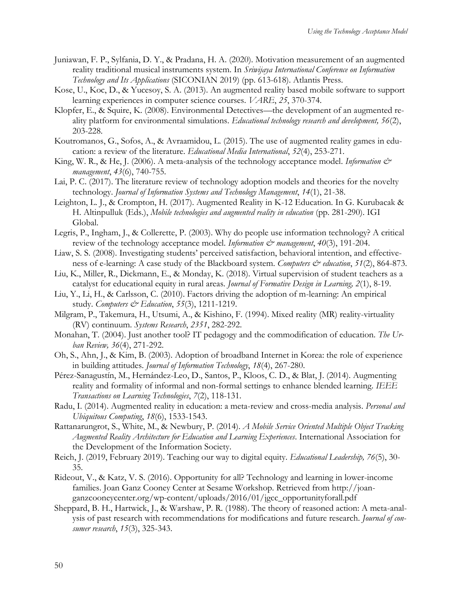- Juniawan, F. P., Sylfania, D. Y., & Pradana, H. A. (2020). Motivation measurement of an augmented reality traditional musical instruments system. In *Sriwijaya International Conference on Information Technology and Its Applications* (SICONIAN 2019) (pp. 613-618). Atlantis Press.
- Kose, U., Koc, D., & Yucesoy, S. A. (2013). An augmented reality based mobile software to support learning experiences in computer science courses. *VARE*, *25*, 370-374.
- Klopfer, E., & Squire, K. (2008). Environmental Detectives—the development of an augmented reality platform for environmental simulations. *Educational technology research and development, 56*(2), 203-228.
- Koutromanos, G., Sofos, A., & Avraamidou, L. (2015). The use of augmented reality games in education: a review of the literature. *Educational Media International*, *52*(4), 253-271.
- King, W. R., & He, J. (2006). A meta-analysis of the technology acceptance model. *Information & management*, *43*(6), 740-755.
- Lai, P. C. (2017). The literature review of technology adoption models and theories for the novelty technology. *Journal of Information Systems and Technology Management*, *14*(1), 21-38.
- Leighton, L. J., & Crompton, H. (2017). Augmented Reality in K-12 Education. In G. Kurubacak & H. Altinpulluk (Eds.), *Mobile technologies and augmented reality in education* (pp. 281-290). IGI Global.
- Legris, P., Ingham, J., & Collerette, P. (2003). Why do people use information technology? A critical review of the technology acceptance model. *Information*  $\mathcal{Q}$  *management*, 40(3), 191-204.
- Liaw, S. S. (2008). Investigating students' perceived satisfaction, behavioral intention, and effectiveness of e-learning: A case study of the Blackboard system. *Computers & education*, 51(2), 864-873.
- Liu, K., Miller, R., Dickmann, E., & Monday, K. (2018). Virtual supervision of student teachers as a catalyst for educational equity in rural areas. *Journal of Formative Design in Learning, 2*(1), 8-19.
- Liu, Y., Li, H., & Carlsson, C. (2010). Factors driving the adoption of m-learning: An empirical study. *Computers & Education*, *55*(3), 1211-1219.
- Milgram, P., Takemura, H., Utsumi, A., & Kishino, F. (1994). Mixed reality (MR) reality-virtuality (RV) continuum. *Systems Research*, *2351*, 282-292.
- Monahan, T. (2004). Just another tool? IT pedagogy and the commodification of education. *The Urban Review, 36*(4), 271-292.
- Oh, S., Ahn, J., & Kim, B. (2003). Adoption of broadband Internet in Korea: the role of experience in building attitudes. *Journal of Information Technology*, *18*(4), 267-280.
- Pérez-Sanagustín, M., Hernández-Leo, D., Santos, P., Kloos, C. D., & Blat, J. (2014). Augmenting reality and formality of informal and non-formal settings to enhance blended learning. *IEEE Transactions on Learning Technologies*, *7*(2), 118-131.
- Radu, I. (2014). Augmented reality in education: a meta-review and cross-media analysis. *Personal and Ubiquitous Computing*, *18*(6), 1533-1543.
- Rattanarungrot, S., White, M., & Newbury, P. (2014). *A Mobile Service Oriented Multiple Object Tracking Augmented Reality Architecture for Education and Learning Experiences*. International Association for the Development of the Information Society.
- Reich, J. (2019, February 2019). Teaching our way to digital equity. *Educational Leadership, 76*(5), 30- 35.
- Rideout, V., & Katz, V. S. (2016). Opportunity for all? Technology and learning in lower-income families. Joan Ganz Cooney Center at Sesame Workshop. Retrieved from http://joanganzcooneycenter.org/wp-content/uploads/2016/01/jgcc\_opportunityforall.pdf
- Sheppard, B. H., Hartwick, J., & Warshaw, P. R. (1988). The theory of reasoned action: A meta-analysis of past research with recommendations for modifications and future research. *Journal of consumer research*, *15*(3), 325-343.